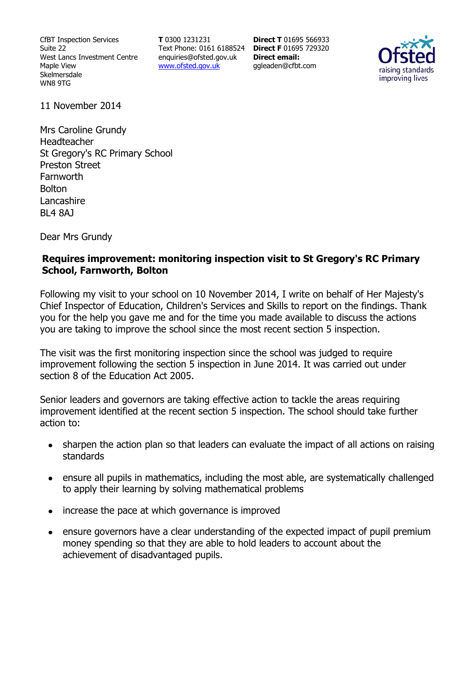CfBT Inspection Services Suite 22 West Lancs Investment Centre Maple View Skelmersdale WN8 9TG

**T** 0300 1231231 Text Phone: 0161 6188524 **Direct F** 01695 729320 enquiries@ofsted.gov.uk www.ofsted.gov.uk

**Direct T** 01695 566933 **Direct email:**  ggleaden@cfbt.com



11 November 2014

Mrs Caroline Grundy Headteacher St Gregory's RC Primary School Preston Street Farnworth **Bolton** Lancashire BL4 8AJ

Dear Mrs Grundy

### **Requires improvement: monitoring inspection visit to St Gregory's RC Primary School, Farnworth, Bolton**

Following my visit to your school on 10 November 2014, I write on behalf of Her Majesty's Chief Inspector of Education, Children's Services and Skills to report on the findings. Thank you for the help you gave me and for the time you made available to discuss the actions you are taking to improve the school since the most recent section 5 inspection.

The visit was the first monitoring inspection since the school was judged to require improvement following the section 5 inspection in June 2014. It was carried out under section 8 of the Education Act 2005.

Senior leaders and governors are taking effective action to tackle the areas requiring improvement identified at the recent section 5 inspection. The school should take further action to:

- sharpen the action plan so that leaders can evaluate the impact of all actions on raising  $\bullet$ standards
- ensure all pupils in mathematics, including the most able, are systematically challenged to apply their learning by solving mathematical problems
- increase the pace at which governance is improved
- ensure governors have a clear understanding of the expected impact of pupil premium  $\bullet$ money spending so that they are able to hold leaders to account about the achievement of disadvantaged pupils.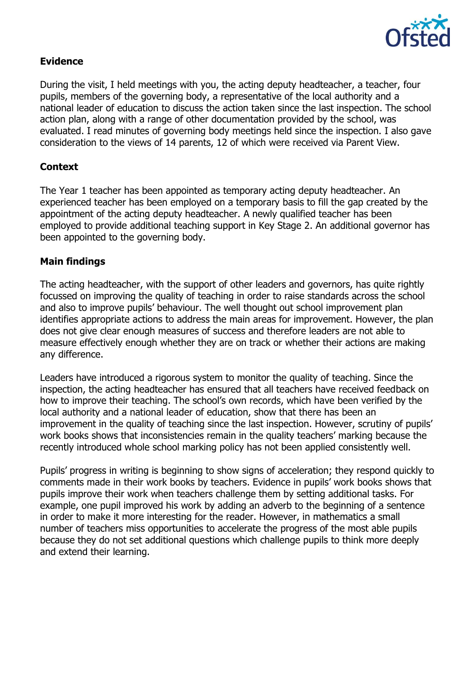

## **Evidence**

During the visit, I held meetings with you, the acting deputy headteacher, a teacher, four pupils, members of the governing body, a representative of the local authority and a national leader of education to discuss the action taken since the last inspection. The school action plan, along with a range of other documentation provided by the school, was evaluated. I read minutes of governing body meetings held since the inspection. I also gave consideration to the views of 14 parents, 12 of which were received via Parent View.

### **Context**

The Year 1 teacher has been appointed as temporary acting deputy headteacher. An experienced teacher has been employed on a temporary basis to fill the gap created by the appointment of the acting deputy headteacher. A newly qualified teacher has been employed to provide additional teaching support in Key Stage 2. An additional governor has been appointed to the governing body.

### **Main findings**

The acting headteacher, with the support of other leaders and governors, has quite rightly focussed on improving the quality of teaching in order to raise standards across the school and also to improve pupils' behaviour. The well thought out school improvement plan identifies appropriate actions to address the main areas for improvement. However, the plan does not give clear enough measures of success and therefore leaders are not able to measure effectively enough whether they are on track or whether their actions are making any difference.

Leaders have introduced a rigorous system to monitor the quality of teaching. Since the inspection, the acting headteacher has ensured that all teachers have received feedback on how to improve their teaching. The school's own records, which have been verified by the local authority and a national leader of education, show that there has been an improvement in the quality of teaching since the last inspection. However, scrutiny of pupils' work books shows that inconsistencies remain in the quality teachers' marking because the recently introduced whole school marking policy has not been applied consistently well.

Pupils' progress in writing is beginning to show signs of acceleration; they respond quickly to comments made in their work books by teachers. Evidence in pupils' work books shows that pupils improve their work when teachers challenge them by setting additional tasks. For example, one pupil improved his work by adding an adverb to the beginning of a sentence in order to make it more interesting for the reader. However, in mathematics a small number of teachers miss opportunities to accelerate the progress of the most able pupils because they do not set additional questions which challenge pupils to think more deeply and extend their learning.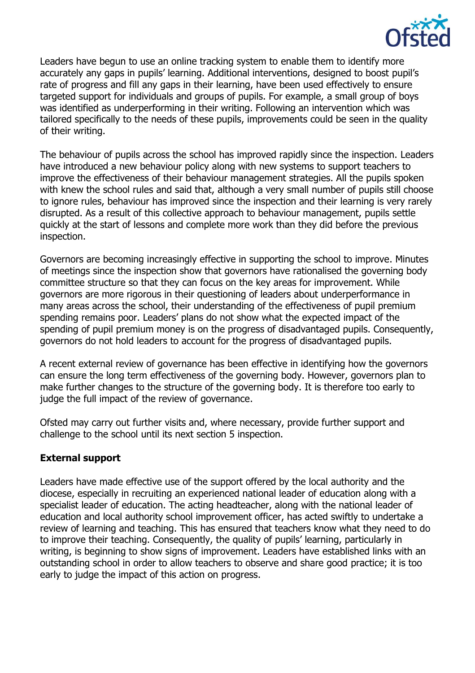

Leaders have begun to use an online tracking system to enable them to identify more accurately any gaps in pupils' learning. Additional interventions, designed to boost pupil's rate of progress and fill any gaps in their learning, have been used effectively to ensure targeted support for individuals and groups of pupils. For example, a small group of boys was identified as underperforming in their writing. Following an intervention which was tailored specifically to the needs of these pupils, improvements could be seen in the quality of their writing.

The behaviour of pupils across the school has improved rapidly since the inspection. Leaders have introduced a new behaviour policy along with new systems to support teachers to improve the effectiveness of their behaviour management strategies. All the pupils spoken with knew the school rules and said that, although a very small number of pupils still choose to ignore rules, behaviour has improved since the inspection and their learning is very rarely disrupted. As a result of this collective approach to behaviour management, pupils settle quickly at the start of lessons and complete more work than they did before the previous inspection.

Governors are becoming increasingly effective in supporting the school to improve. Minutes of meetings since the inspection show that governors have rationalised the governing body committee structure so that they can focus on the key areas for improvement. While governors are more rigorous in their questioning of leaders about underperformance in many areas across the school, their understanding of the effectiveness of pupil premium spending remains poor. Leaders' plans do not show what the expected impact of the spending of pupil premium money is on the progress of disadvantaged pupils. Consequently, governors do not hold leaders to account for the progress of disadvantaged pupils.

A recent external review of governance has been effective in identifying how the governors can ensure the long term effectiveness of the governing body. However, governors plan to make further changes to the structure of the governing body. It is therefore too early to judge the full impact of the review of governance.

Ofsted may carry out further visits and, where necessary, provide further support and challenge to the school until its next section 5 inspection.

### **External support**

Leaders have made effective use of the support offered by the local authority and the diocese, especially in recruiting an experienced national leader of education along with a specialist leader of education. The acting headteacher, along with the national leader of education and local authority school improvement officer, has acted swiftly to undertake a review of learning and teaching. This has ensured that teachers know what they need to do to improve their teaching. Consequently, the quality of pupils' learning, particularly in writing, is beginning to show signs of improvement. Leaders have established links with an outstanding school in order to allow teachers to observe and share good practice; it is too early to judge the impact of this action on progress.